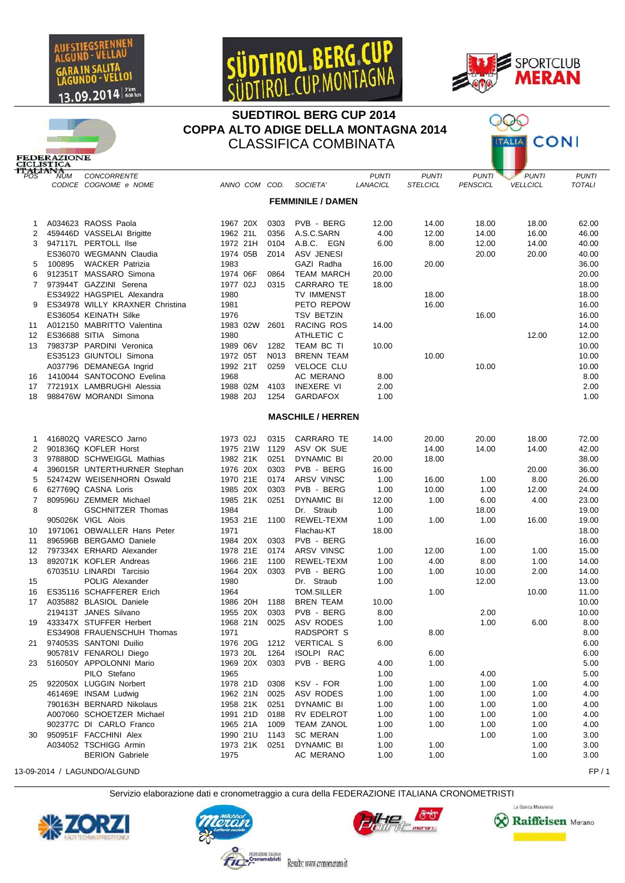





## **SUEDTIROL BERG CUP 2014** COPPA ALTO ADIGE DELLA MONTAGNA 2014 **CLASSIFICA COMBINATA**

Х **MICONI** 

|                     | <b>FEDERAZIONE</b><br><b>CICLISTICA</b> |                                                  |                      |              |                                 |                          |                                 |                                 |                                 |                               |
|---------------------|-----------------------------------------|--------------------------------------------------|----------------------|--------------|---------------------------------|--------------------------|---------------------------------|---------------------------------|---------------------------------|-------------------------------|
|                     | <b>ITALIANA</b>                         | CONCORRENTE<br>CODICE COGNOME e NOME             | ANNO COM COD.        |              | SOCIETA'                        | <b>PUNTI</b><br>LANACICL | <b>PUNTI</b><br><b>STELCICL</b> | <b>PUNTI</b><br><b>PENSCICL</b> | <b>PUNTI</b><br><b>VELLCICL</b> | <b>PUNTI</b><br><b>TOTALI</b> |
|                     |                                         |                                                  |                      |              | <b>FEMMINILE / DAMEN</b>        |                          |                                 |                                 |                                 |                               |
| 1                   |                                         | A034623 RAOSS Paola                              | 1967 20X             | 0303         | PVB - BERG                      | 12.00                    | 14.00                           | 18.00                           | 18.00                           | 62.00                         |
| 2                   |                                         | 459446D VASSELAI Brigitte                        | 1962 21L             | 0356         | A.S.C.SARN                      | 4.00                     | 12.00                           | 14.00                           | 16.00                           | 46.00                         |
| 3                   |                                         | 947117L PERTOLL Ilse                             | 1972 21H             | 0104         | A.B.C. EGN                      | 6.00                     | 8.00                            | 12.00                           | 14.00                           | 40.00                         |
|                     |                                         | ES36070 WEGMANN Claudia                          | 1974 05B             | Z014         | <b>ASV JENESI</b>               |                          |                                 | 20.00                           | 20.00                           | 40.00                         |
| 5                   | 100895                                  | <b>WACKER Patrizia</b>                           | 1983                 |              | GAZI Radha                      | 16.00                    | 20.00                           |                                 |                                 | 36.00                         |
| 6<br>$\overline{7}$ |                                         | 912351T MASSARO Simona<br>973944T GAZZINI Serena | 1974 06F<br>1977 02J | 0864<br>0315 | <b>TEAM MARCH</b><br>CARRARO TE | 20.00                    |                                 |                                 |                                 | 20.00                         |
|                     |                                         | ES34922 HAGSPIEL Alexandra                       | 1980                 |              | <b>TV IMMENST</b>               | 18.00                    | 18.00                           |                                 |                                 | 18.00<br>18.00                |
| 9                   |                                         | ES34978 WILLY KRAXNER Christina                  | 1981                 |              | PETO REPOW                      |                          | 16.00                           |                                 |                                 | 16.00                         |
|                     |                                         | ES36054 KEINATH Silke                            | 1976                 |              | <b>TSV BETZIN</b>               |                          |                                 | 16.00                           |                                 | 16.00                         |
| 11                  |                                         | A012150 MABRITTO Valentina                       | 1983 02W             | 2601         | RACING ROS                      | 14.00                    |                                 |                                 |                                 | 14.00                         |
| 12                  |                                         | ES36688 SITIA Simona                             | 1980                 |              | ATHLETIC C                      |                          |                                 |                                 | 12.00                           | 12.00                         |
| 13                  |                                         | 798373P PARDINI Veronica                         | 1989 06V             | 1282         | TEAM BC TI                      | 10.00                    |                                 |                                 |                                 | 10.00                         |
|                     |                                         | ES35123 GIUNTOLI Simona                          | 1972 05T             | N013         | <b>BRENN TEAM</b>               |                          | 10.00                           |                                 |                                 | 10.00                         |
|                     |                                         | A037796 DEMANEGA Ingrid                          | 1992 21T             | 0259         | <b>VELOCE CLU</b>               |                          |                                 | 10.00                           |                                 | 10.00                         |
| 16                  |                                         | 1410044 SANTOCONO Evelina                        | 1968                 |              | AC MERANO                       | 8.00                     |                                 |                                 |                                 | 8.00                          |
| 17                  |                                         | 772191X LAMBRUGHI Alessia                        | 1988 02M             | 4103         | <b>INEXERE VI</b>               | 2.00                     |                                 |                                 |                                 | 2.00                          |
| 18                  |                                         | 988476W MORANDI Simona                           | 1988 20J             | 1254         | <b>GARDAFOX</b>                 | 1.00                     |                                 |                                 |                                 | 1.00                          |
|                     |                                         |                                                  |                      |              | <b>MASCHILE / HERREN</b>        |                          |                                 |                                 |                                 |                               |
| 1                   |                                         | 416802Q VARESCO Jarno                            | 1973 02J             | 0315         | CARRARO TE                      | 14.00                    | 20.00                           | 20.00                           | 18.00                           | 72.00                         |
| 2                   |                                         | 901836Q KOFLER Horst                             | 1975 21W             | 1129         | ASV OK SUE                      |                          | 14.00                           | 14.00                           | 14.00                           | 42.00                         |
| 3                   |                                         | 978880D SCHWEIGGL Mathias                        | 1982 21K             | 0251         | <b>DYNAMIC BI</b>               | 20.00                    | 18.00                           |                                 |                                 | 38.00                         |
| 4                   |                                         | 396015R UNTERTHURNER Stephan                     | 1976 20X             | 0303         | PVB - BERG                      | 16.00                    |                                 |                                 | 20.00                           | 36.00                         |
| 5<br>6              |                                         | 524742W WEISENHORN Oswald<br>627769Q CASNA Loris | 1970 21E<br>1985 20X | 0174<br>0303 | <b>ARSV VINSC</b><br>PVB - BERG | 1.00<br>1.00             | 16.00                           | 1.00                            | 8.00                            | 26.00<br>24.00                |
| $\overline{7}$      |                                         | 809596U ZEMMER Michael                           | 1985 21K             | 0251         | <b>DYNAMIC BI</b>               | 12.00                    | 10.00<br>1.00                   | 1.00<br>6.00                    | 12.00<br>4.00                   | 23.00                         |
| 8                   |                                         | <b>GSCHNITZER Thomas</b>                         | 1984                 |              | Dr. Straub                      | 1.00                     |                                 | 18.00                           |                                 | 19.00                         |
|                     |                                         | 905026K VIGL Alois                               | 1953 21E             | 1100         | REWEL-TEXM                      | 1.00                     | 1.00                            | 1.00                            | 16.00                           | 19.00                         |
| 10                  |                                         | 1971061 OBWALLER Hans Peter                      | 1971                 |              | Flachau-KT                      | 18.00                    |                                 |                                 |                                 | 18.00                         |
| 11                  |                                         | 896596B BERGAMO Daniele                          | 1984 20X             | 0303         | PVB - BERG                      |                          |                                 | 16.00                           |                                 | 16.00                         |
| 12                  |                                         | 797334X ERHARD Alexander                         | 1978 21E             | 0174         | ARSV VINSC                      | 1.00                     | 12.00                           | 1.00                            | 1.00                            | 15.00                         |
| 13                  |                                         | 892071K KOFLER Andreas                           | 1966 21E             | 1100         | REWEL-TEXM                      | 1.00                     | 4.00                            | 8.00                            | 1.00                            | 14.00                         |
|                     |                                         | 670351U LINARDI Tarcisio                         | 1964 20X             | 0303         | PVB - BERG                      | 1.00                     | 1.00                            | 10.00                           | 2.00                            | 14.00                         |
| 15                  |                                         | POLIG Alexander                                  | 1980                 |              | Dr. Straub                      | 1.00                     |                                 | 12.00                           |                                 | 13.00                         |
| 16                  |                                         | ES35116 SCHAFFERER Erich                         | 1964                 |              | <b>TOM.SILLER</b>               |                          | 1.00                            |                                 | 10.00                           | 11.00                         |
| 17                  |                                         | A035882 BLASIOL Daniele                          | 1986 20H             | 1188         | <b>BREN TEAM</b>                | 10.00                    |                                 |                                 |                                 | 10.00                         |
|                     |                                         | 219413T JANES Silvano                            | 1955 20X             | 0303         | PVB - BERG                      | 8.00                     |                                 | 2.00                            |                                 | 10.00                         |
| 19                  |                                         | 433347X STUFFER Herbert                          | 1968 21N             | 0025         | ASV RODES                       | 1.00                     |                                 | 1.00                            | 6.00                            | 8.00                          |
|                     |                                         | ES34908 FRAUENSCHUH Thomas                       | 1971                 |              | RADSPORT S                      |                          | 8.00                            |                                 |                                 | 8.00                          |
| 21                  |                                         | 974053S SANTONI Duilio                           | 1976 20G             | 1212         | <b>VERTICAL S</b>               | 6.00                     |                                 |                                 |                                 | 6.00                          |
|                     |                                         | 905781V FENAROLI Diego                           | 1973 20L             | 1264         | ISOLPI RAC                      |                          | 6.00                            |                                 |                                 | 6.00                          |
| 23                  |                                         | 516050Y APPOLONNI Mario                          | 1969 20X             | 0303         | PVB - BERG                      | 4.00                     | 1.00                            |                                 |                                 | 5.00                          |
| 25                  |                                         | PILO Stefano<br>922050X LUGGIN Norbert           | 1965<br>1978 21D     | 0308         | KSV - FOR                       | 1.00<br>1.00             | 1.00                            | 4.00<br>1.00                    | 1.00                            | 5.00<br>4.00                  |
|                     |                                         | 461469E INSAM Ludwig                             | 1962 21N             | 0025         | ASV RODES                       | 1.00                     | 1.00                            | 1.00                            | 1.00                            | 4.00                          |
|                     |                                         | 790163H BERNARD Nikolaus                         | 1958 21K             | 0251         | <b>DYNAMIC BI</b>               | 1.00                     | 1.00                            | 1.00                            | 1.00                            | 4.00                          |
|                     |                                         | A007060 SCHOETZER Michael                        | 1991 21D             | 0188         | RV EDELROT                      | 1.00                     | 1.00                            | 1.00                            | 1.00                            | 4.00                          |
|                     |                                         | 902377C DI CARLO Franco                          | 1965 21A             | 1009         | <b>TEAM ZANOL</b>               | 1.00                     | 1.00                            | 1.00                            | 1.00                            | 4.00                          |
| 30                  |                                         | 950951F FACCHINI Alex                            | 1990 21U             | 1143         | <b>SC MERAN</b>                 | 1.00                     |                                 | 1.00                            | 1.00                            | 3.00                          |
|                     |                                         | A034052 TSCHIGG Armin                            | 1973 21K             | 0251         | DYNAMIC BI                      | 1.00                     | 1.00                            |                                 | 1.00                            | 3.00                          |
|                     |                                         | <b>BERION Gabriele</b>                           | 1975                 |              | AC MERANO                       | 1.00                     | 1.00                            |                                 | 1.00                            | 3.00                          |

13-09-2014 / LAGUNDO/ALGUND

Servizio elaborazione dati e cronometraggio a cura della FEDERAZIONE ITALIANA CRONOMETRISTI

Results: www.cronomerano.it

etristi









 $FP/1$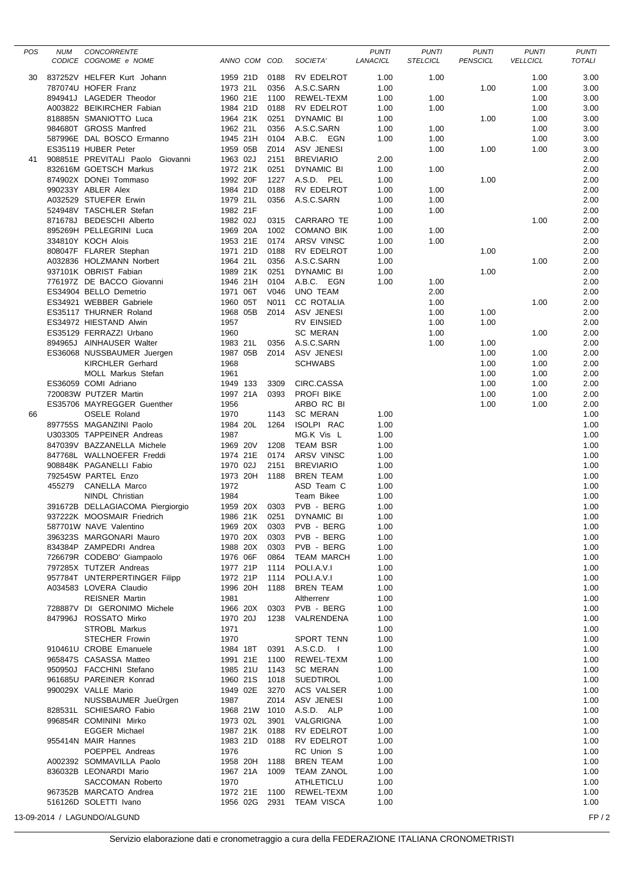| POS | <b>NUM</b> | CONCORRENTE<br>CODICE COGNOME e NOME                 | ANNO COM COD.        |              | SOCIETA'                               | <b>PUNTI</b><br>LANACICL | <b>PUNTI</b><br><b>STELCICL</b> | <b>PUNTI</b><br><b>PENSCICL</b> | <b>PUNTI</b><br><b>VELLCICL</b> | <b>PUNTI</b><br><b>TOTALI</b> |
|-----|------------|------------------------------------------------------|----------------------|--------------|----------------------------------------|--------------------------|---------------------------------|---------------------------------|---------------------------------|-------------------------------|
|     |            |                                                      |                      |              |                                        |                          |                                 |                                 |                                 |                               |
| 30  |            | 837252V HELFER Kurt Johann                           | 1959 21D             | 0188         | RV EDELROT                             | 1.00                     | 1.00                            |                                 | 1.00                            | 3.00                          |
|     |            | 787074U HOFER Franz                                  | 1973 21L             | 0356         | A.S.C.SARN                             | 1.00                     |                                 | 1.00                            | 1.00                            | 3.00                          |
|     |            | 894941J LAGEDER Theodor<br>A003822 BEIKIRCHER Fabian | 1960 21E<br>1984 21D | 1100<br>0188 | REWEL-TEXM<br>RV EDELROT               | 1.00                     | 1.00<br>1.00                    |                                 | 1.00<br>1.00                    | 3.00<br>3.00                  |
|     |            | 818885N SMANIOTTO Luca                               | 1964 21K             | 0251         | DYNAMIC BI                             | 1.00<br>1.00             |                                 | 1.00                            | 1.00                            | 3.00                          |
|     |            | 984680T GROSS Manfred                                | 1962 21L             | 0356         | A.S.C.SARN                             | 1.00                     | 1.00                            |                                 | 1.00                            | 3.00                          |
|     |            | 587996E DAL BOSCO Ermanno                            | 1945 21H             | 0104         | A.B.C. EGN                             | 1.00                     | 1.00                            |                                 | 1.00                            | 3.00                          |
|     |            | ES35119 HUBER Peter                                  | 1959 05B             | Z014         | ASV JENESI                             |                          | 1.00                            | 1.00                            | 1.00                            | 3.00                          |
| 41  |            | 908851E PREVITALI Paolo Giovanni                     | 1963 02J             | 2151         | <b>BREVIARIO</b>                       | 2.00                     |                                 |                                 |                                 | 2.00                          |
|     |            | 832616M GOETSCH Markus                               | 1972 21K             | 0251         | DYNAMIC BI                             | 1.00                     | 1.00                            |                                 |                                 | 2.00                          |
|     |            | 874902X DONEI Tommaso                                | 1992 20F             | 1227         | A.S.D. PEL                             | 1.00                     |                                 | 1.00                            |                                 | 2.00                          |
|     |            | 990233Y ABLER Alex                                   | 1984 21D             | 0188         | RV EDELROT                             | 1.00                     | 1.00                            |                                 |                                 | 2.00                          |
|     |            | A032529 STUEFER Erwin<br>524948V TASCHLER Stefan     | 1979 21L<br>1982 21F | 0356         | A.S.C.SARN                             | 1.00                     | 1.00<br>1.00                    |                                 |                                 | 2.00<br>2.00                  |
|     |            | 871678J BEDESCHI Alberto                             | 1982 02J             | 0315         | CARRARO TE                             | 1.00<br>1.00             |                                 |                                 | 1.00                            | 2.00                          |
|     |            | 895269H PELLEGRINI Luca                              | 1969 20A             | 1002         | <b>COMANO BIK</b>                      | 1.00                     | 1.00                            |                                 |                                 | 2.00                          |
|     |            | 334810Y KOCH Alois                                   | 1953 21E             | 0174         | ARSV VINSC                             | 1.00                     | 1.00                            |                                 |                                 | 2.00                          |
|     |            | 808047F FLARER Stephan                               | 1971 21D             | 0188         | RV EDELROT                             | 1.00                     |                                 | 1.00                            |                                 | 2.00                          |
|     |            | A032836 HOLZMANN Norbert                             | 1964 21L             | 0356         | A.S.C.SARN                             | 1.00                     |                                 |                                 | 1.00                            | 2.00                          |
|     |            | 937101K OBRIST Fabian                                | 1989 21K             | 0251         | DYNAMIC BI                             | 1.00                     |                                 | 1.00                            |                                 | 2.00                          |
|     |            | 776197Z DE BACCO Giovanni                            | 1946 21H             | 0104         | A.B.C. EGN                             | 1.00                     | 1.00                            |                                 |                                 | 2.00                          |
|     |            | ES34904 BELLO Demetrio                               | 1971 06T             | V046         | <b>UNO TEAM</b>                        |                          | 2.00                            |                                 |                                 | 2.00                          |
|     |            | ES34921 WEBBER Gabriele                              | 1960 05T             | N011         | <b>CC ROTALIA</b>                      |                          | 1.00                            |                                 | 1.00                            | 2.00                          |
|     |            | ES35117 THURNER Roland<br>ES34972 HIESTAND Alwin     | 1968 05B<br>1957     |              | Z014 ASV JENESI<br><b>RV EINSIED</b>   |                          | 1.00<br>1.00                    | 1.00<br>1.00                    |                                 | 2.00<br>2.00                  |
|     |            | ES35129 FERRAZZI Urbano                              | 1960                 |              | <b>SC MERAN</b>                        |                          | 1.00                            |                                 | 1.00                            | 2.00                          |
|     |            | 894965J AINHAUSER Walter                             | 1983 21L             | 0356         | A.S.C.SARN                             |                          | 1.00                            | 1.00                            |                                 | 2.00                          |
|     |            | ES36068 NUSSBAUMER Juergen                           | 1987 05B             |              | Z014 ASV JENESI                        |                          |                                 | 1.00                            | 1.00                            | 2.00                          |
|     |            | <b>KIRCHLER Gerhard</b>                              | 1968                 |              | <b>SCHWABS</b>                         |                          |                                 | 1.00                            | 1.00                            | 2.00                          |
|     |            | MOLL Markus Stefan                                   | 1961                 |              |                                        |                          |                                 | 1.00                            | 1.00                            | 2.00                          |
|     |            | ES36059 COMI Adriano                                 | 1949 133             | 3309         | CIRC.CASSA                             |                          |                                 | 1.00                            | 1.00                            | 2.00                          |
|     |            | 720083W PUTZER Martin                                | 1997 21A             | 0393         | PROFI BIKE                             |                          |                                 | 1.00                            | 1.00                            | 2.00                          |
|     |            | ES35706 MAYREGGER Guenther                           | 1956                 |              | ARBO RC BI                             |                          |                                 | 1.00                            | 1.00                            | 2.00                          |
| 66  |            | <b>OSELE Roland</b><br>897755S MAGANZINI Paolo       | 1970<br>1984 20L     | 1143<br>1264 | <b>SC MERAN</b><br>ISOLPI RAC          | 1.00<br>1.00             |                                 |                                 |                                 | 1.00<br>1.00                  |
|     |            | U303305 TAPPEINER Andreas                            | 1987                 |              | MG.K Vis L                             | 1.00                     |                                 |                                 |                                 | 1.00                          |
|     |            | 847039V BAZZANELLA Michele                           | 1969 20V             | 1208         | <b>TEAM BSR</b>                        | 1.00                     |                                 |                                 |                                 | 1.00                          |
|     |            | 847768L WALLNOEFER Freddi                            | 1974 21E             | 0174         | ARSV VINSC                             | 1.00                     |                                 |                                 |                                 | 1.00                          |
|     |            | 908848K PAGANELLI Fabio                              | 1970 02J             | 2151         | <b>BREVIARIO</b>                       | 1.00                     |                                 |                                 |                                 | 1.00                          |
|     |            | 792545W PARTEL Enzo                                  | 1973 20H             | 1188         | <b>BREN TEAM</b>                       | 1.00                     |                                 |                                 |                                 | 1.00                          |
|     | 455279     | <b>CANELLA Marco</b>                                 | 1972<br>1984         |              | ASD Team C                             | 1.00                     |                                 |                                 |                                 | 1.00<br>1.00                  |
|     |            | NINDL Christian<br>391672B DELLAGIACOMA Piergiorgio  | 1959 20X 0303        |              | Team Bikee<br>PVB - BERG               | 1.00<br>1.00             |                                 |                                 |                                 | 1.00                          |
|     |            | 937222K MOOSMAIR Friedrich                           |                      |              | 1986 21K 0251 DYNAMIC BI               | 1.00                     |                                 |                                 |                                 | 1.00                          |
|     |            | 587701W NAVE Valentino                               | 1969 20X 0303        |              | PVB - BERG                             | 1.00                     |                                 |                                 |                                 | 1.00                          |
|     |            | 396323S MARGONARI Mauro                              | 1970 20X             | 0303         | PVB - BERG                             | 1.00                     |                                 |                                 |                                 | 1.00                          |
|     |            | 834384P ZAMPEDRI Andrea                              | 1988 20X             | 0303         | PVB - BERG                             | 1.00                     |                                 |                                 |                                 | 1.00                          |
|     |            | 726679R CODEBO' Giampaolo                            | 1976 06F             | 0864         | TEAM MARCH                             | 1.00                     |                                 |                                 |                                 | 1.00                          |
|     |            | 797285X TUTZER Andreas                               | 1977 21P             |              | 1114 POLI.A.V.I                        | 1.00                     |                                 |                                 |                                 | 1.00                          |
|     |            | 957784T UNTERPERTINGER Filipp                        | 1972 21P             |              | 1114 POLI.A.V.I                        | 1.00                     |                                 |                                 |                                 | 1.00                          |
|     |            | A034583 LOVERA Claudio<br><b>REISNER Martin</b>      | 1996 20H<br>1981     | 1188         | BREN TEAM<br>Altherrenr                | 1.00<br>1.00             |                                 |                                 |                                 | 1.00<br>1.00                  |
|     |            | 728887V DI GERONIMO Michele                          | 1966 20X             |              | 0303 PVB - BERG                        | 1.00                     |                                 |                                 |                                 | 1.00                          |
|     |            | 847996J ROSSATO Mirko                                | 1970 20J             |              | 1238 VALRENDENA                        | 1.00                     |                                 |                                 |                                 | 1.00                          |
|     |            | <b>STROBL Markus</b>                                 | 1971                 |              |                                        | 1.00                     |                                 |                                 |                                 | 1.00                          |
|     |            | <b>STECHER Frowin</b>                                | 1970                 |              | <b>SPORT TENN</b>                      | 1.00                     |                                 |                                 |                                 | 1.00                          |
|     |            | 910461U CROBE Emanuele                               | 1984 18T             |              | 0391 A.S.C.D. I                        | 1.00                     |                                 |                                 |                                 | 1.00                          |
|     |            | 965847S CASASSA Matteo                               | 1991 21E             |              | 1100 REWEL-TEXM                        | 1.00                     |                                 |                                 |                                 | 1.00                          |
|     |            | 950950J FACCHINI Stefano                             | 1985 21U             |              | 1143 SC MERAN                          | 1.00                     |                                 |                                 |                                 | 1.00                          |
|     |            | 961685U PAREINER Konrad                              | 1960 21S             | 1018         | <b>SUEDTIROL</b>                       | 1.00                     |                                 |                                 |                                 | 1.00                          |
|     |            | 990029X VALLE Mario<br>NUSSBAUMER JueÜrgen           | 1949 02E<br>1987     | 3270<br>Z014 | ACS VALSER<br>ASV JENESI               | 1.00<br>1.00             |                                 |                                 |                                 | 1.00<br>1.00                  |
|     |            | 828531L SCHIESARO Fabio                              | 1968 21W 1010        |              | A.S.D. ALP                             | 1.00                     |                                 |                                 |                                 | 1.00                          |
|     |            | 996854R COMININI Mirko                               | 1973 02L             | 3901         | VALGRIGNA                              | 1.00                     |                                 |                                 |                                 | 1.00                          |
|     |            | <b>EGGER Michael</b>                                 | 1987 21K             | 0188         | RV EDELROT                             | 1.00                     |                                 |                                 |                                 | 1.00                          |
|     |            | 955414N MAIR Hannes                                  | 1983 21D             | 0188         | RV EDELROT                             | 1.00                     |                                 |                                 |                                 | 1.00                          |
|     |            | POEPPEL Andreas                                      | 1976                 |              | RC Union S                             | 1.00                     |                                 |                                 |                                 | 1.00                          |
|     |            | A002392 SOMMAVILLA Paolo                             | 1958 20H             | 1188         | BREN TEAM                              | 1.00                     |                                 |                                 |                                 | 1.00                          |
|     |            | 836032B LEONARDI Mario                               | 1967 21A             | 1009         | TEAM ZANOL                             | 1.00                     |                                 |                                 |                                 | 1.00                          |
|     |            | SACCOMAN Roberto<br>967352B MARCATO Andrea           | 1970                 |              | ATHLETICLU<br>1972 21E 1100 REWEL-TEXM | 1.00<br>1.00             |                                 |                                 |                                 | 1.00<br>1.00                  |
|     |            | 516126D SOLETTI Ivano                                |                      |              | 1956 02G 2931 TEAM VISCA               | 1.00                     |                                 |                                 |                                 | 1.00                          |
|     |            | 13-09-2014 / LAGUNDO/ALGUND                          |                      |              |                                        |                          |                                 |                                 |                                 | FP/2                          |
|     |            |                                                      |                      |              |                                        |                          |                                 |                                 |                                 |                               |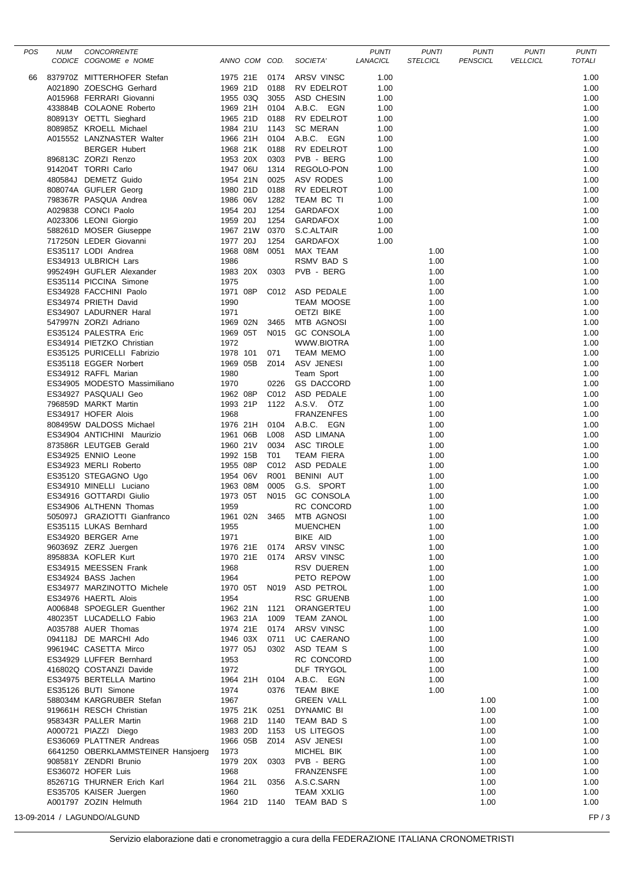| POS | <b>NUM</b> | <b>CONCORRENTE</b>                 |                      |              |                          | <b>PUNTI</b> | <b>PUNTI</b>    | <b>PUNTI</b>    | <b>PUNTI</b>    | <b>PUNTI</b>  |
|-----|------------|------------------------------------|----------------------|--------------|--------------------------|--------------|-----------------|-----------------|-----------------|---------------|
|     |            | CODICE COGNOME e NOME              | ANNO COM COD.        |              | SOCIETA'                 | LANACICL     | <b>STELCICL</b> | <b>PENSCICL</b> | <b>VELLCICL</b> | <b>TOTALI</b> |
| 66  |            | 837970Z MITTERHOFER Stefan         | 1975 21E 0174        |              | ARSV VINSC               | 1.00         |                 |                 |                 | 1.00          |
|     |            | A021890 ZOESCHG Gerhard            | 1969 21D             | 0188         | RV EDELROT               | 1.00         |                 |                 |                 | 1.00          |
|     |            | A015968 FERRARI Giovanni           | 1955 03Q             | 3055         | ASD CHESIN               | 1.00         |                 |                 |                 | 1.00          |
|     |            | 433884B COLAONE Roberto            | 1969 21H             | 0104         | A.B.C. EGN               | 1.00         |                 |                 |                 | 1.00          |
|     |            | 808913Y OETTL Sieghard             | 1965 21D             | 0188         | RV EDELROT               | 1.00         |                 |                 |                 | 1.00          |
|     |            | 808985Z KROELL Michael             | 1984 21U             | 1143         | <b>SC MERAN</b>          | 1.00         |                 |                 |                 | 1.00          |
|     |            | A015552 LANZNASTER Walter          | 1966 21H             | 0104         | A.B.C. EGN               | 1.00         |                 |                 |                 | 1.00          |
|     |            | <b>BERGER Hubert</b>               | 1968 21K             | 0188         | RV EDELROT               | 1.00         |                 |                 |                 | 1.00          |
|     |            | 896813C ZORZI Renzo                | 1953 20X             | 0303         | PVB - BERG               | 1.00         |                 |                 |                 | 1.00          |
|     |            | 914204T TORRI Carlo                | 1947 06U             | 1314         | REGOLO-PON               | 1.00         |                 |                 |                 | 1.00          |
|     |            | 480584J DEMETZ Guido               | 1954 21N             | 0025         | ASV RODES                | 1.00         |                 |                 |                 | 1.00          |
|     |            |                                    |                      | 0188         |                          |              |                 |                 |                 |               |
|     |            | 808074A GUFLER Georg               | 1980 21D<br>1986 06V | 1282         | RV EDELROT               | 1.00         |                 |                 |                 | 1.00<br>1.00  |
|     |            | 798367R PASQUA Andrea              |                      |              | TEAM BC TI               | 1.00         |                 |                 |                 |               |
|     |            | A029838 CONCI Paolo                | 1954 20J             | 1254<br>1254 | GARDAFOX                 | 1.00         |                 |                 |                 | 1.00          |
|     |            | A023306 LEONI Giorgio              | 1959 20J             |              | <b>GARDAFOX</b>          | 1.00         |                 |                 |                 | 1.00          |
|     |            | 588261D MOSER Giuseppe             | 1967 21W             | 0370         | S.C.ALTAIR               | 1.00         |                 |                 |                 | 1.00          |
|     |            | 717250N LEDER Giovanni             | 1977 20J             | 1254         | <b>GARDAFOX</b>          | 1.00         |                 |                 |                 | 1.00          |
|     |            | ES35117 LODI Andrea                | 1968 08M             | 0051         | MAX TEAM                 |              | 1.00            |                 |                 | 1.00          |
|     |            | ES34913 ULBRICH Lars               | 1986                 |              | RSMV BAD S               |              | 1.00            |                 |                 | 1.00          |
|     |            | 995249H GUFLER Alexander           | 1983 20X             | 0303         | PVB - BERG               |              | 1.00            |                 |                 | 1.00          |
|     |            | ES35114 PICCINA Simone             | 1975                 |              |                          |              | 1.00            |                 |                 | 1.00          |
|     |            | ES34928 FACCHINI Paolo             | 1971 08P             |              | C012 ASD PEDALE          |              | 1.00            |                 |                 | 1.00          |
|     |            | ES34974 PRIETH David               | 1990                 |              | <b>TEAM MOOSE</b>        |              | 1.00            |                 |                 | 1.00          |
|     |            | ES34907 LADURNER Haral             | 1971                 |              | <b>OETZI BIKE</b>        |              | 1.00            |                 |                 | 1.00          |
|     |            | 547997N ZORZI Adriano              | 1969 02N             | 3465         | <b>MTB AGNOSI</b>        |              | 1.00            |                 |                 | 1.00          |
|     |            | ES35124 PALESTRA Eric              | 1969 05T             | N015         | <b>GC CONSOLA</b>        |              | 1.00            |                 |                 | 1.00          |
|     |            | ES34914 PIETZKO Christian          | 1972                 |              | WWW.BIOTRA               |              | 1.00            |                 |                 | 1.00          |
|     |            | ES35125 PURICELLI Fabrizio         | 1978 101             | 071          | <b>TEAM MEMO</b>         |              | 1.00            |                 |                 | 1.00          |
|     |            | ES35118 EGGER Norbert              | 1969 05B             | Z014         | ASV JENESI               |              | 1.00            |                 |                 | 1.00          |
|     |            | ES34912 RAFFL Marian               | 1980                 |              | Team Sport               |              | 1.00            |                 |                 | 1.00          |
|     |            | ES34905 MODESTO Massimiliano       | 1970                 | 0226         | <b>GS DACCORD</b>        |              | 1.00            |                 |                 | 1.00          |
|     |            | ES34927 PASQUALI Geo               | 1962 08P             |              | C012 ASD PEDALE          |              | 1.00            |                 |                 | 1.00          |
|     |            | 796859D MARKT Martin               | 1993 21P             |              | 1122 A.S.V. ÖTZ          |              | 1.00            |                 |                 | 1.00          |
|     |            | ES34917 HOFER Alois                | 1968                 |              | <b>FRANZENFES</b>        |              | 1.00            |                 |                 | 1.00          |
|     |            | 808495W DALDOSS Michael            | 1976 21H             | 0104         | A.B.C. EGN               |              | 1.00            |                 |                 | 1.00          |
|     |            | ES34904 ANTICHINI Maurizio         | 1961 06B             | L008         | ASD LIMANA               |              | 1.00            |                 |                 | 1.00          |
|     |            | 873586R LEUTGEB Gerald             | 1960 21V             | 0034         | ASC TIROLE               |              | 1.00            |                 |                 | 1.00          |
|     |            | ES34925 ENNIO Leone                | 1992 15B             | T01          | <b>TEAM FIERA</b>        |              | 1.00            |                 |                 | 1.00          |
|     |            | ES34923 MERLI Roberto              | 1955 08P             |              | C012 ASD PEDALE          |              | 1.00            |                 |                 | 1.00          |
|     |            | ES35120 STEGAGNO Ugo               | 1954 06V             | R001         | BENINI AUT               |              | 1.00            |                 |                 | 1.00          |
|     |            | ES34910 MINELLI Luciano            | 1963 08M             | 0005         | G.S. SPORT               |              | 1.00            |                 |                 | 1.00          |
|     |            | ES34916 GOTTARDI Giulio            | 1973 05T             | N015         | <b>GC CONSOLA</b>        |              | 1.00            |                 |                 | 1.00          |
|     |            | ES34906 ALTHENN Thomas             | 1959                 |              | RC CONCORD               |              | 1.00            |                 |                 | 1.00          |
|     |            | 505097J GRAZIOTTI Gianfranco       |                      |              | 1961 02N 3465 MTB AGNOSI |              | 1.00            |                 |                 | 1.00          |
|     |            | ES35115 LUKAS Bernhard             | 1955                 |              | <b>MUENCHEN</b>          |              | 1.00            |                 |                 | 1.00          |
|     |            | ES34920 BERGER Arne                | 1971                 |              | BIKE AID                 |              | 1.00            |                 |                 | 1.00          |
|     |            | 960369Z ZERZ Juergen               |                      |              | 1976 21E 0174 ARSV VINSC |              | 1.00            |                 |                 | 1.00          |
|     |            | 895883A KOFLER Kurt                |                      |              | 1970 21E 0174 ARSV VINSC |              | 1.00            |                 |                 | 1.00          |
|     |            | ES34915 MEESSEN Frank              | 1968                 |              | RSV DUEREN               |              | 1.00            |                 |                 | 1.00          |
|     |            | ES34924 BASS Jachen                | 1964                 |              | PETO REPOW               |              | 1.00            |                 |                 | 1.00          |
|     |            | ES34977 MARZINOTTO Michele         | 1970 05T             |              | N019 ASD PETROL          |              | 1.00            |                 |                 | 1.00          |
|     |            | ES34976 HAERTL Alois               | 1954                 |              | <b>RSC GRUENB</b>        |              | 1.00            |                 |                 | 1.00          |
|     |            | A006848 SPOEGLER Guenther          | 1962 21N             | 1121         | ORANGERTEU               |              | 1.00            |                 |                 | 1.00          |
|     |            | 480235T LUCADELLO Fabio            | 1963 21A             | 1009         | <b>TEAM ZANOL</b>        |              | 1.00            |                 |                 | 1.00          |
|     |            | A035788 AUER Thomas                | 1974 21E             | 0174         | ARSV VINSC               |              | 1.00            |                 |                 | 1.00          |
|     |            | 094118J DE MARCHI Ado              | 1946 03X             | 0711         | UC CAERANO               |              | 1.00            |                 |                 | 1.00          |
|     |            | 996194C CASETTA Mirco              | 1977 05J             | 0302         | ASD TEAM S               |              | 1.00            |                 |                 | 1.00          |
|     |            | ES34929 LUFFER Bernhard            | 1953                 |              | RC CONCORD               |              | 1.00            |                 |                 | 1.00          |
|     |            | 416802Q COSTANZI Davide            | 1972                 |              | DLF TRYGOL               |              | 1.00            |                 |                 | 1.00          |
|     |            |                                    |                      |              |                          |              |                 |                 |                 |               |
|     |            | ES34975 BERTELLA Martino           | 1964 21H             |              | 0104 A.B.C. EGN          |              | 1.00            |                 |                 | 1.00          |
|     |            | ES35126 BUTI Simone                | 1974                 | 0376         | TEAM BIKE                |              | 1.00            |                 |                 | 1.00          |
|     |            | 588034M KARGRUBER Stefan           | 1967                 |              | <b>GREEN VALL</b>        |              |                 | 1.00            |                 | 1.00          |
|     |            | 919661H RESCH Christian            | 1975 21K             | 0251         | DYNAMIC BI               |              |                 | 1.00            |                 | 1.00          |
|     |            | 958343R PALLER Martin              | 1968 21D             | 1140         | TEAM BAD S               |              |                 | 1.00            |                 | 1.00          |
|     |            | A000721 PIAZZI Diego               | 1983 20D             | 1153         | US LITEGOS               |              |                 | 1.00            |                 | 1.00          |
|     |            | ES36069 PLATTNER Andreas           | 1966 05B             | Z014         | ASV JENESI               |              |                 | 1.00            |                 | 1.00          |
|     |            | 6641250 OBERKLAMMSTEINER Hansjoerg | 1973                 |              | MICHEL BIK               |              |                 | 1.00            |                 | 1.00          |
|     |            | 908581Y ZENDRI Brunio              | 1979 20X             |              | 0303 PVB - BERG          |              |                 | 1.00            |                 | 1.00          |
|     |            | ES36072 HOFER Luis                 | 1968                 |              | <b>FRANZENSFE</b>        |              |                 | 1.00            |                 | 1.00          |
|     |            | 852671G THURNER Erich Karl         | 1964 21L             |              | 0356 A.S.C.SARN          |              |                 | 1.00            |                 | 1.00          |
|     |            | ES35705 KAISER Juergen             | 1960                 |              | <b>TEAM XXLIG</b>        |              |                 | 1.00            |                 | 1.00          |
|     |            | A001797 ZOZIN Helmuth              |                      |              | 1964 21D 1140 TEAM BAD S |              |                 | 1.00            |                 | 1.00          |
|     |            | 13-09-2014 / LAGUNDO/ALGUND        |                      |              |                          |              |                 |                 |                 | FP/3          |